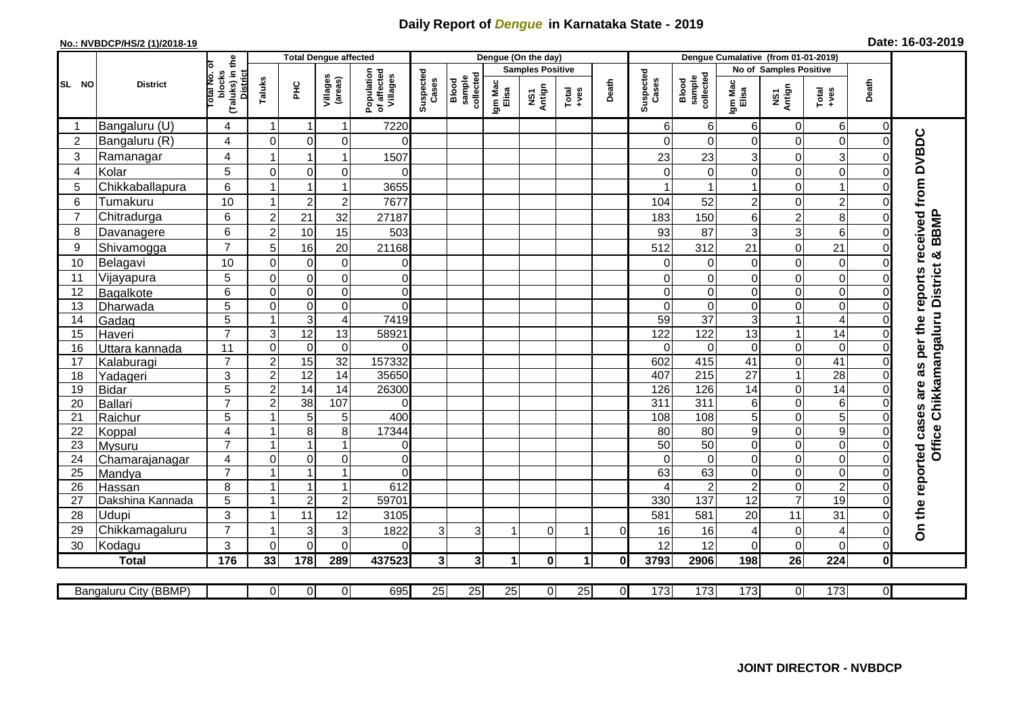## **Daily Report of** *Dengue* **in Karnataka State - 2019**

## **No.: NVBDCP/HS/2 (1)/2018-19 Date: 16-03-2019**

|                 | <b>District</b>       |                                                      | <b>Total Dengue affected</b>       |                                       |                         |                              |                  |                |                                                              | Dengue (On the day) |                    |                              |                  |                  |                        |                |                         |                |                                                                  |
|-----------------|-----------------------|------------------------------------------------------|------------------------------------|---------------------------------------|-------------------------|------------------------------|------------------|----------------|--------------------------------------------------------------|---------------------|--------------------|------------------------------|------------------|------------------|------------------------|----------------|-------------------------|----------------|------------------------------------------------------------------|
|                 |                       |                                                      |                                    |                                       |                         |                              |                  |                | <b>Samples Positive</b>                                      |                     |                    |                              |                  |                  | No of Samples Positive |                |                         |                |                                                                  |
| SL NO           |                       | (Taluks) in the<br>District<br>otal No. of<br>blocks | Villages<br>(areas)<br>Taluks<br>Ξ | Population<br>of affected<br>Villages | Suspected<br>Cases      | sample<br>collected<br>Blood | Igm Mac<br>Elisa | NS1<br>Antign  | $\begin{array}{c}\n\text{Total} \\ \text{Area}\n\end{array}$ | Death               | Suspected<br>Cases | collected<br>sample<br>Blood | Igm Mac<br>Elisa | NS1<br>Antign    | $Total$                | Death          |                         |                |                                                                  |
|                 | Bangaluru (U)         | 4                                                    | -1                                 | -1                                    | 1                       | 7220                         |                  |                |                                                              |                     |                    |                              | 6                | 6                | 6                      | 0              | $6 \mid$                | 0              |                                                                  |
| $\overline{2}$  | Bangaluru (R)         | $\overline{4}$                                       | $\mathbf{0}$                       | $\mathbf 0$                           | $\mathbf 0$             | $\Omega$                     |                  |                |                                                              |                     |                    |                              | O                | $\Omega$         | $\Omega$               | 0              | $\mathsf{O}\xspace$     | $\Omega$       |                                                                  |
| 3               | Ramanagar             | $\overline{4}$                                       |                                    |                                       | 1                       | 1507                         |                  |                |                                                              |                     |                    |                              | 23               | 23               | 3                      | 0              | $\overline{3}$          | $\bigcap$      | On the reported cases are as per the reports received from DVBDC |
| $\overline{4}$  | Kolar                 | $\overline{5}$                                       | $\mathbf 0$                        | $\boldsymbol{0}$                      | $\mathbf 0$             | $\Omega$                     |                  |                |                                                              |                     |                    |                              | $\Omega$         | $\mathbf 0$      | 0                      | $\mathbf 0$    | $\overline{0}$          | $\mathbf 0$    |                                                                  |
| 5               | Chikkaballapura       | $6\phantom{1}$                                       |                                    |                                       | 1                       | 3655                         |                  |                |                                                              |                     |                    |                              |                  |                  |                        | 0              | $\mathbf{1}$            | 0              |                                                                  |
| $6\phantom{1}6$ | Tumakuru              | 10                                                   |                                    | $\overline{2}$                        | $\overline{c}$          | 7677                         |                  |                |                                                              |                     |                    |                              | 104              | 52               | $\overline{c}$         | 0              | $\overline{c}$          | $\Omega$       |                                                                  |
| $\overline{7}$  | Chitradurga           | 6                                                    | $\overline{c}$                     | 21                                    | 32                      | 27187                        |                  |                |                                                              |                     |                    |                              | 183              | 150              | 6                      | $\overline{c}$ | 8                       | $\Omega$       |                                                                  |
| 8               | Davanagere            | 6                                                    | $\overline{2}$                     | 10                                    | 15                      | 503                          |                  |                |                                                              |                     |                    |                              | 93               | 87               | 3                      | 3              | $\,$ 6 $\,$             | $\mathbf 0$    | <b>BBMP</b>                                                      |
| 9               | Shivamogga            | $\overline{7}$                                       | 5                                  | 16                                    | 20                      | 21168                        |                  |                |                                                              |                     |                    |                              | 512              | 312              | 21                     | 0              | 21                      | $\Omega$       |                                                                  |
| 10              | Belagavi              | 10                                                   | $\mathbf 0$                        | $\pmb{0}$                             | $\pmb{0}$               | 0                            |                  |                |                                                              |                     |                    |                              | $\Omega$         | 0                | $\mathbf 0$            | 0              | $\mathsf{O}\xspace$     | $\Omega$       |                                                                  |
| 11              | Vijayapura            | $\overline{5}$                                       | $\mathbf 0$                        | $\boldsymbol{0}$                      | $\mathbf 0$             | $\mathbf 0$                  |                  |                |                                                              |                     |                    |                              | $\Omega$         | $\mathbf 0$      | 0                      | $\mathbf 0$    | $\overline{\mathsf{o}}$ | $\Omega$       | Office Chikkamangaluru District &                                |
| 12              | Bagalkote             | 6                                                    | $\mathbf 0$                        | $\pmb{0}$                             | $\mathbf 0$             | $\overline{0}$               |                  |                |                                                              |                     |                    |                              | $\Omega$         | $\mathbf 0$      | 0                      | 0              | $\overline{\mathsf{o}}$ | $\mathbf 0$    |                                                                  |
| 13              | Dharwada              | 5                                                    | $\Omega$                           | $\mathbf 0$                           | $\mathbf 0$             | $\Omega$                     |                  |                |                                                              |                     |                    |                              | $\Omega$         | $\Omega$         | $\Omega$               | 0              | $\overline{0}$          | $\Omega$       |                                                                  |
| 14              | Gadag                 | $\overline{5}$                                       |                                    | $\overline{3}$                        | $\overline{\mathbf{4}}$ | 7419                         |                  |                |                                                              |                     |                    |                              | 59               | $\overline{37}$  | 3                      | 1              | $\overline{4}$          | $\Omega$       |                                                                  |
| 15              | Haveri                | $\overline{7}$                                       | 3                                  | $\overline{12}$                       | 13                      | 58921                        |                  |                |                                                              |                     |                    |                              | 122              | 122              | 13                     | 1              | 14                      | 0              |                                                                  |
| 16              | Uttara kannada        | 11                                                   | $\mathbf 0$                        | $\mathbf 0$                           | $\mathbf 0$             | $\Omega$                     |                  |                |                                                              |                     |                    |                              | $\Omega$         | $\Omega$         | $\Omega$               | 0              | $\overline{0}$          | $\Omega$       |                                                                  |
| 17              | Kalaburagi            | $\overline{7}$                                       | $\overline{c}$                     | 15                                    | $\overline{32}$         | 157332                       |                  |                |                                                              |                     |                    |                              | 602              | 415              | 41                     | 0              | $\overline{41}$         | $\mathbf 0$    |                                                                  |
| 18              | Yadageri              | 3                                                    | $\overline{2}$                     | 12                                    | 14                      | 35650                        |                  |                |                                                              |                     |                    |                              | 407              | 215              | 27                     | $\mathbf{1}$   | 28                      | $\Omega$       |                                                                  |
| 19              | Bidar                 | 5                                                    | $\overline{2}$                     | 14                                    | 14                      | 26300                        |                  |                |                                                              |                     |                    |                              | 126              | 126              | 14                     | 0              | 14                      | $\mathbf 0$    |                                                                  |
| 20              | Ballari               | $\overline{7}$                                       | $\overline{2}$                     | 38                                    | 107                     | $\Omega$                     |                  |                |                                                              |                     |                    |                              | $\overline{311}$ | 311              | 6                      | 0              | $\sigma$                | $\Omega$       |                                                                  |
| 21              | Raichur               | 5                                                    |                                    | 5                                     | 5                       | 400                          |                  |                |                                                              |                     |                    |                              | 108              | 108              | 5                      | 0              | $\overline{5}$          | $\mathbf 0$    |                                                                  |
| 22              | Koppal                | 4                                                    |                                    | 8                                     | 8                       | 17344                        |                  |                |                                                              |                     |                    |                              | 80               | 80               | 9                      | $\mathbf 0$    | $\overline{9}$          | $\Omega$       |                                                                  |
| 23              | Mysuru                | $\overline{7}$                                       |                                    |                                       | 1                       | 0                            |                  |                |                                                              |                     |                    |                              | 50               | 50               | $\pmb{0}$              | 0              | $\overline{0}$          | $\mathbf 0$    |                                                                  |
| 24              | Chamarajanagar        | $\overline{4}$                                       | $\mathbf 0$                        | $\overline{0}$                        | 0                       | $\overline{0}$               |                  |                |                                                              |                     |                    |                              | $\Omega$         | $\overline{0}$   | $\overline{0}$         | 0              | $\overline{0}$          | $\mathbf 0$    |                                                                  |
| $\overline{25}$ | Mandya                | $\overline{7}$                                       |                                    | $\overline{1}$                        | $\mathbf{1}$            | $\Omega$                     |                  |                |                                                              |                     |                    |                              | 63               | 63               | $\mathbf 0$            | 0              | $\overline{0}$          | $\mathbf 0$    |                                                                  |
| 26              | Hassan                | 8                                                    | $\overline{\mathbf{1}}$            | 1                                     | $\overline{1}$          | 612                          |                  |                |                                                              |                     |                    |                              |                  | $\overline{2}$   | $\overline{c}$         | 0              | $\overline{2}$          | $\mathbf 0$    |                                                                  |
| 27              | Dakshina Kannada      | 5                                                    | $\overline{\mathbf{1}}$            | $\overline{2}$                        | $\overline{c}$          | 59701                        |                  |                |                                                              |                     |                    |                              | 330              | 137              | $\overline{12}$        | $\overline{7}$ | 19                      | $\overline{0}$ |                                                                  |
| 28              | <b>Udupi</b>          | 3                                                    |                                    | 11                                    | 12                      | 3105                         |                  |                |                                                              |                     |                    |                              | 581              | 581              | 20                     | 11             | 31                      | $\Omega$       |                                                                  |
| 29              | Chikkamagaluru        | $\overline{7}$                                       |                                    | 3                                     | 3                       | 1822                         | 3                | $\overline{3}$ |                                                              | $\Omega$            | 1                  | $\Omega$                     | 16               | 16               | 4                      | 0              | $\overline{4}$          | $\Omega$       |                                                                  |
| 30              | Kodagu                | 3                                                    | $\Omega$                           | $\overline{0}$                        | $\Omega$                | $\Omega$                     |                  |                |                                                              |                     |                    |                              | 12               | 12               | $\Omega$               | $\mathbf 0$    | $\mathbf 0$             | $\Omega$       |                                                                  |
|                 | <b>Total</b>          | 176                                                  | 33                                 | 178                                   | 289                     | 437523                       | $\mathbf{3}$     | 3 <sup>1</sup> | $\blacktriangleleft$                                         | $\mathbf{0}$        | $\mathbf 1$        | 0l                           | 3793             | 2906             | 198                    | 26             | 224                     | $\mathbf 0$    |                                                                  |
|                 | Bangaluru City (BBMP) |                                                      | $\overline{0}$                     | $\overline{0}$                        | $\overline{0}$          | 695                          | 25               | 25             | 25                                                           | $\overline{0}$      | 25                 | $\overline{0}$               | $\overline{173}$ | $\overline{173}$ | 173                    | 0              | 173                     | $\overline{0}$ |                                                                  |